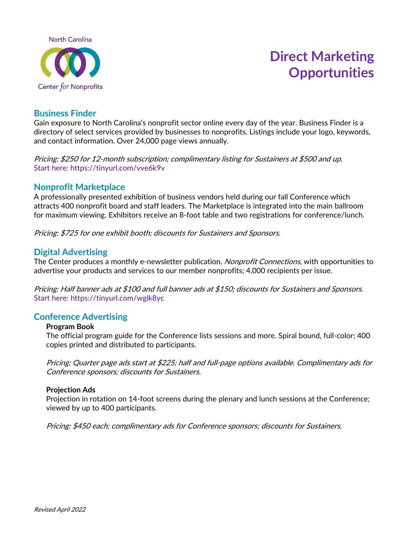

# **Direct Marketing Opportunities**

## **Business Finder**

Gain exposure to North Carolina's nonprofit sector online every day of the year. Business Finder is a directory of select services provided by businesses to nonprofits. Listings include your logo, keywords, and contact information. Over 24,000 page views annually.

Pricing: \$250 for 12-month subscription; complimentary listing for Sustainers at \$500 and up. Start here: https://tinyurl.com/vve6k9v

#### **Nonprofit Marketplace**

A professionally presented exhibition of business vendors held during our fall Conference which attracts 400 nonprofit board and staff leaders. The Marketplace is integrated into the main ballroom for maximum viewing. Exhibitors receive an 8-foot table and two registrations for conference/lunch.

Pricing: \$725 for one exhibit booth; discounts for Sustainers and Sponsors.

## **Digital Advertising**

The Center produces a monthly e-newsletter publication, *Nonprofit Connections*, with opportunities to advertise your products and services to our member nonprofits; 4,000 recipients per issue.

Pricing: Half banner ads at \$100 and full banner ads at \$150; discounts for Sustainers and Sponsors. Start here: <https://tinyurl.com/wglk8yc>

#### **Conference Advertising**

#### **Program Book**

The official program guide for the Conference lists sessions and more. Spiral bound, full-color; 400 copies printed and distributed to participants.

Pricing: Quarter page ads start at \$225; half and full-page options available. Complimentary ads for Conference sponsors; discounts for Sustainers.

#### **Projection Ads**

Projection in rotation on 14-foot screens during the plenary and lunch sessions at the Conference; viewed by up to 400 participants.

Pricing: \$450 each; complimentary ads for Conference sponsors; discounts for Sustainers.